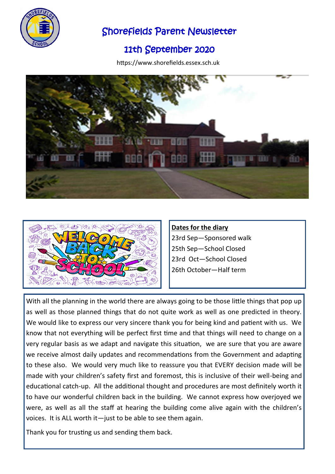

## Shorefields Parent Newsletter

## 11th September 2020

https://www.shorefields.essex.sch.uk





**Dates for the diary** 23rd Sep—Sponsored walk 25th Sep—School Closed 23rd Oct—School Closed 26th October—Half term

With all the planning in the world there are always going to be those little things that pop up as well as those planned things that do not quite work as well as one predicted in theory. We would like to express our very sincere thank you for being kind and patient with us. We know that not everything will be perfect first time and that things will need to change on a very regular basis as we adapt and navigate this situation, we are sure that you are aware we receive almost daily updates and recommendations from the Government and adapting to these also. We would very much like to reassure you that EVERY decision made will be made with your children's safety first and foremost, this is inclusive of their well-being and educational catch-up. All the additional thought and procedures are most definitely worth it to have our wonderful children back in the building. We cannot express how overjoyed we were, as well as all the staff at hearing the building come alive again with the children's voices. It is ALL worth it—just to be able to see them again.

Thank you for trusting us and sending them back.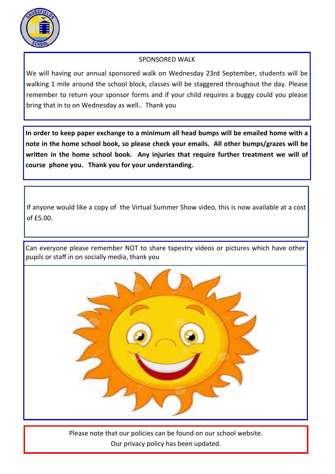

## SPONSORED WALK

We will having our annual sponsored walk on Wednesday 23rd September, students will be walking 1 mile around the school block, classes will be staggered throughout the day. Please remember to return your sponsor forms and if your child requires a buggy could you please bring that in to on Wednesday as well.. Thank you

**In order to keep paper exchange to a minimum all head bumps will be emailed home with a note in the home school book, so please check your emails. All other bumps/grazes will be written in the home school book. Any injuries that require further treatment we will of course phone you. Thank you for your understanding.**

If anyone would like a copy of the Virtual Summer Show video, this is now available at a cost of £5.00.

Can everyone please remember NOT to share tapestry videos or pictures which have other pupils or staff in on socially media, thank you



Please note that our policies can be found on our school website. Our privacy policy has been updated.